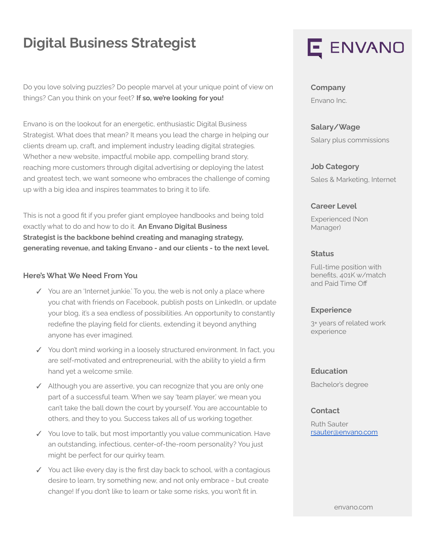## **Digital Business Strategist**

Do you love solving puzzles? Do people marvel at your unique point of view on things? Can you think on your feet? **If so, we're looking for you!**

Envano is on the lookout for an energetic, enthusiastic Digital Business Strategist. What does that mean? It means you lead the charge in helping our clients dream up, craft, and implement industry leading digital strategies. Whether a new website, impactful mobile app, compelling brand story, reaching more customers through digital advertising or deploying the latest and greatest tech, we want someone who embraces the challenge of coming up with a big idea and inspires teammates to bring it to life.

This is not a good fit if you prefer giant employee handbooks and being told exactly what to do and how to do it. **An Envano Digital Business Strategist is the backbone behind creating and managing strategy, generating revenue, and taking Envano - and our clients - to the next level.**

### **Here's What We Need From You**

- ✓ You are an 'Internet junkie.' To you, the web is not only a place where you chat with friends on Facebook, publish posts on LinkedIn, or update your blog, it's a sea endless of possibilities. An opportunity to constantly redefine the playing field for clients, extending it beyond anything anyone has ever imagined.
- ✓ You don't mind working in a loosely structured environment. In fact, you are self-motivated and entrepreneurial, with the ability to yield a firm hand yet a welcome smile.
- ✓ Although you are assertive, you can recognize that you are only one part of a successful team. When we say 'team player,' we mean you can't take the ball down the court by yourself. You are accountable to others, and they to you. Success takes all of us working together.
- ✓ You love to talk, but most importantly you value communication. Have an outstanding, infectious, center-of-the-room personality? You just might be perfect for our quirky team.
- ✓ You act like every day is the first day back to school, with a contagious desire to learn, try something new, and not only embrace - but create change! If you don't like to learn or take some risks, you won't fit in.

# E ENVANO

**Company** Envano Inc.

**Salary/Wage** Salary plus commissions

**Job Category** Sales & Marketing, Internet

### **Career Level**

Experienced (Non Manager)

### **Status**

Full-time position with benefits, 401K w/match and Paid Time Off

#### **Experience**

3+ years of related work experience

### **Education**

Bachelor's degree

#### **Contact**

Ruth Sauter [rsauter@envano.com](mailto:rsauter@envano.com)